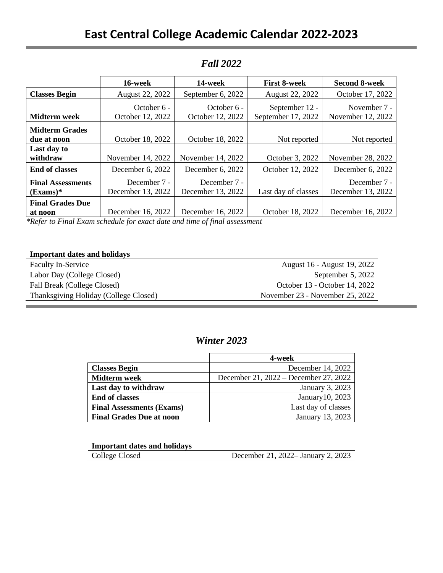|                          | 16-week                                                                                                                                                                                                                                                                                                                                                 | 14-week                                                                                            | <b>First 8-week</b>                  | <b>Second 8-week</b>              |
|--------------------------|---------------------------------------------------------------------------------------------------------------------------------------------------------------------------------------------------------------------------------------------------------------------------------------------------------------------------------------------------------|----------------------------------------------------------------------------------------------------|--------------------------------------|-----------------------------------|
| <b>Classes Begin</b>     | August 22, 2022                                                                                                                                                                                                                                                                                                                                         | September 6, 2022                                                                                  | August 22, 2022                      | October 17, 2022                  |
| Midterm week             | October $6 -$<br>October 12, 2022                                                                                                                                                                                                                                                                                                                       | October $6 -$<br>October 12, 2022                                                                  | September 12 -<br>September 17, 2022 | November 7 -<br>November 12, 2022 |
|                          |                                                                                                                                                                                                                                                                                                                                                         |                                                                                                    |                                      |                                   |
| <b>Midterm Grades</b>    |                                                                                                                                                                                                                                                                                                                                                         |                                                                                                    |                                      |                                   |
| due at noon              | October 18, 2022                                                                                                                                                                                                                                                                                                                                        | October 18, 2022                                                                                   | Not reported                         | Not reported                      |
| Last day to              |                                                                                                                                                                                                                                                                                                                                                         |                                                                                                    |                                      |                                   |
| withdraw                 | November 14, 2022                                                                                                                                                                                                                                                                                                                                       | November 14, 2022                                                                                  | October 3, 2022                      | November 28, 2022                 |
| <b>End of classes</b>    | December 6, 2022                                                                                                                                                                                                                                                                                                                                        | December 6, 2022                                                                                   | October 12, 2022                     | December 6, 2022                  |
| <b>Final Assessments</b> | December 7 -                                                                                                                                                                                                                                                                                                                                            | December 7 -                                                                                       |                                      | December 7 -                      |
| $(Examples)^*$           | December 13, 2022                                                                                                                                                                                                                                                                                                                                       | December 13, 2022                                                                                  | Last day of classes                  | December 13, 2022                 |
| <b>Final Grades Due</b>  |                                                                                                                                                                                                                                                                                                                                                         |                                                                                                    |                                      |                                   |
| at noon<br>$\mathbf{r}$  | December 16, 2022<br>$\mathbf{1}$ $\mathbf{1}$ $\mathbf{2}$ $\mathbf{3}$ $\mathbf{4}$ $\mathbf{5}$ $\mathbf{1}$ $\mathbf{5}$ $\mathbf{1}$ $\mathbf{5}$ $\mathbf{1}$ $\mathbf{5}$ $\mathbf{1}$ $\mathbf{5}$ $\mathbf{1}$ $\mathbf{5}$ $\mathbf{1}$ $\mathbf{5}$ $\mathbf{1}$ $\mathbf{5}$ $\mathbf{1}$ $\mathbf{5}$ $\mathbf{1}$ $\mathbf{5}$ $\mathbf{$ | December 16, 2022<br>$\mathbf{1}$ $\mathbf{1}$ $\mathbf{1}$ $\mathbf{1}$ $\mathbf{1}$ $\mathbf{1}$ | October 18, 2022                     | December 16, 2022                 |

### *Fall 2022*

*\*Refer to Final Exam schedule for exact date and time of final assessment*

#### **Important dates and holidays**

| <b>Faculty In-Service</b>             | August 16 - August 19, 2022     |
|---------------------------------------|---------------------------------|
| Labor Day (College Closed)            | September 5, 2022               |
| Fall Break (College Closed)           | October 13 - October 14, 2022   |
| Thanksgiving Holiday (College Closed) | November 23 - November 25, 2022 |

### *Winter 2023*

|                                  | 4-week                                |
|----------------------------------|---------------------------------------|
| <b>Classes Begin</b>             | December 14, 2022                     |
| <b>Midterm</b> week              | December 21, 2022 – December 27, 2022 |
| Last day to withdraw             | January 3, 2023                       |
| <b>End of classes</b>            | January 10, 2023                      |
| <b>Final Assessments (Exams)</b> | Last day of classes                   |
| <b>Final Grades Due at noon</b>  | January 13, 2023                      |

| <b>Important dates and holidays</b> |                                    |
|-------------------------------------|------------------------------------|
| College Closed                      | December 21, 2022– January 2, 2023 |